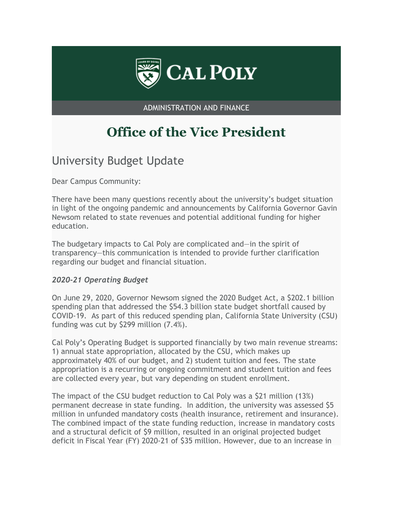

ADMINISTRATION AND FINANCE

# **Office of the Vice President**

# University Budget Update

Dear Campus Community:

There have been many questions recently about the university's budget situation in light of the ongoing pandemic and announcements by California Governor Gavin Newsom related to state revenues and potential additional funding for higher education.

The budgetary impacts to Cal Poly are complicated and—in the spirit of transparency—this communication is intended to provide further clarification regarding our budget and financial situation.

#### *2020-21 Operating Budget*

On June 29, 2020, Governor Newsom signed the 2020 Budget Act, a \$202.1 billion spending plan that addressed the \$54.3 billion state budget shortfall caused by COVID-19. As part of this reduced spending plan, California State University (CSU) funding was cut by \$299 million (7.4%).

Cal Poly's Operating Budget is supported financially by two main revenue streams: 1) annual state appropriation, allocated by the CSU, which makes up approximately 40% of our budget, and 2) student tuition and fees. The state appropriation is a recurring or ongoing commitment and student tuition and fees are collected every year, but vary depending on student enrollment.

The impact of the CSU budget reduction to Cal Poly was a \$21 million (13%) permanent decrease in state funding. In addition, the university was assessed \$5 million in unfunded mandatory costs (health insurance, retirement and insurance). The combined impact of the state funding reduction, increase in mandatory costs and a structural deficit of \$9 million, resulted in an original projected budget deficit in Fiscal Year (FY) 2020-21 of \$35 million. However, due to an increase in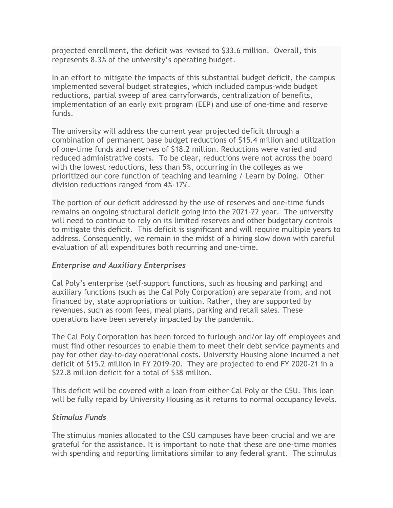projected enrollment, the deficit was revised to \$33.6 million. Overall, this represents 8.3% of the university's operating budget.

In an effort to mitigate the impacts of this substantial budget deficit, the campus implemented several budget strategies, which included campus-wide budget reductions, partial sweep of area carryforwards, centralization of benefits, implementation of an early exit program (EEP) and use of one-time and reserve funds.

The university will address the current year projected deficit through a combination of permanent base budget reductions of \$15.4 million and utilization of one-time funds and reserves of \$18.2 million. Reductions were varied and reduced administrative costs. To be clear, reductions were not across the board with the lowest reductions, less than 5%, occurring in the colleges as we prioritized our core function of teaching and learning / Learn by Doing. Other division reductions ranged from 4%-17%.

The portion of our deficit addressed by the use of reserves and one-time funds remains an ongoing structural deficit going into the 2021-22 year. The university will need to continue to rely on its limited reserves and other budgetary controls to mitigate this deficit. This deficit is significant and will require multiple years to address. Consequently, we remain in the midst of a hiring slow down with careful evaluation of all expenditures both recurring and one-time.

# *Enterprise and Auxiliary Enterprises*

Cal Poly's enterprise (self-support functions, such as housing and parking) and auxiliary functions (such as the Cal Poly Corporation) are separate from, and not financed by, state appropriations or tuition. Rather, they are supported by revenues, such as room fees, meal plans, parking and retail sales. These operations have been severely impacted by the pandemic.

The Cal Poly Corporation has been forced to furlough and/or lay off employees and must find other resources to enable them to meet their debt service payments and pay for other day-to-day operational costs. University Housing alone incurred a net deficit of \$15.2 million in FY 2019-20. They are projected to end FY 2020-21 in a \$22.8 million deficit for a total of \$38 million.

This deficit will be covered with a loan from either Cal Poly or the CSU. This loan will be fully repaid by University Housing as it returns to normal occupancy levels.

#### *Stimulus Funds*

The stimulus monies allocated to the CSU campuses have been crucial and we are grateful for the assistance. It is important to note that these are one-time monies with spending and reporting limitations similar to any federal grant. The stimulus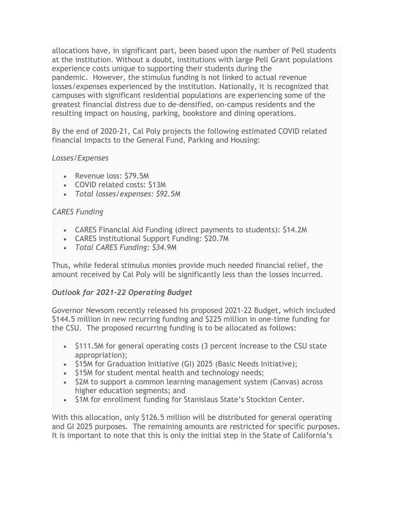allocations have, in significant part, been based upon the number of Pell students at the institution. Without a doubt, institutions with large Pell Grant populations experience costs unique to supporting their students during the pandemic. However, the stimulus funding is not linked to actual revenue losses/expenses experienced by the institution. Nationally, it is recognized that campuses with significant residential populations are experiencing some of the greatest financial distress due to de-densified, on-campus residents and the resulting impact on housing, parking, bookstore and dining operations.

By the end of 2020-21, Cal Poly projects the following estimated COVID related financial impacts to the General Fund, Parking and Housing:

# *Losses/Expenses*

- Revenue loss: \$79.5M
- COVID related costs: \$13M
- *Total losses/expenses: \$92.5M*

#### *CARES Funding*

- CARES Financial Aid Funding (direct payments to students): \$14.2M
- CARES Institutional Support Funding: \$20.7M
- *Total CARES Funding: \$34.9M*

Thus, while federal stimulus monies provide much needed financial relief, the amount received by Cal Poly will be significantly less than the losses incurred.

# *Outlook for 2021-22 Operating Budget*

Governor Newsom recently released his proposed 2021-22 Budget, which included \$144.5 million in new recurring funding and \$225 million in one-time funding for the CSU. The proposed recurring funding is to be allocated as follows:

- \$111.5M for general operating costs (3 percent increase to the CSU state appropriation);
- \$15M for Graduation Initiative (GI) 2025 (Basic Needs Initiative);
- \$15M for student mental health and technology needs;
- \$2M to support a common learning management system (Canvas) across higher education segments; and
- \$1M for enrollment funding for Stanislaus State's Stockton Center.

With this allocation, only \$126.5 million will be distributed for general operating and GI 2025 purposes. The remaining amounts are restricted for specific purposes. It is important to note that this is only the initial step in the State of California's